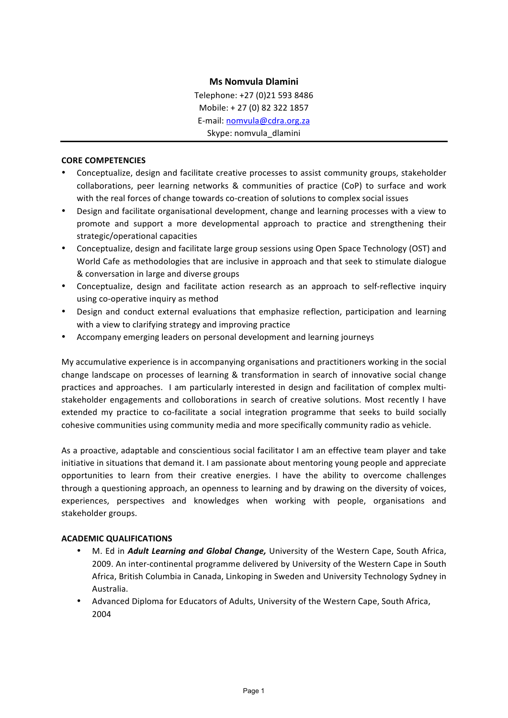# **Ms Nomvula Dlamini**

Telephone: +27 (0)21 593 8486 Mobile: + 27 (0) 82 322 1857 E-mail: nomvula@cdra.org.za Skype: nomvula\_dlamini

#### **CORE COMPETENCIES**

- Conceptualize, design and facilitate creative processes to assist community groups, stakeholder collaborations, peer learning networks & communities of practice (CoP) to surface and work with the real forces of change towards co-creation of solutions to complex social issues
- Design and facilitate organisational development, change and learning processes with a view to promote and support a more developmental approach to practice and strengthening their strategic/operational capacities
- Conceptualize, design and facilitate large group sessions using Open Space Technology (OST) and World Cafe as methodologies that are inclusive in approach and that seek to stimulate dialogue & conversation in large and diverse groups
- Conceptualize, design and facilitate action research as an approach to self-reflective inquiry using co-operative inquiry as method
- Design and conduct external evaluations that emphasize reflection, participation and learning with a view to clarifying strategy and improving practice
- Accompany emerging leaders on personal development and learning journeys

My accumulative experience is in accompanying organisations and practitioners working in the social change landscape on processes of learning & transformation in search of innovative social change practices and approaches. I am particularly interested in design and facilitation of complex multistakeholder engagements and colloborations in search of creative solutions. Most recently I have extended my practice to co-facilitate a social integration programme that seeks to build socially cohesive communities using community media and more specifically community radio as vehicle.

As a proactive, adaptable and conscientious social facilitator I am an effective team player and take initiative in situations that demand it. I am passionate about mentoring young people and appreciate opportunities to learn from their creative energies. I have the ability to overcome challenges through a questioning approach, an openness to learning and by drawing on the diversity of voices, experiences, perspectives and knowledges when working with people, organisations and stakeholder groups.

### **ACADEMIC QUALIFICATIONS**

- M. Ed in *Adult Learning and Global Change*, University of the Western Cape, South Africa, 2009. An inter-continental programme delivered by University of the Western Cape in South Africa, British Columbia in Canada, Linkoping in Sweden and University Technology Sydney in Australia.
- Advanced Diploma for Educators of Adults, University of the Western Cape, South Africa, 2004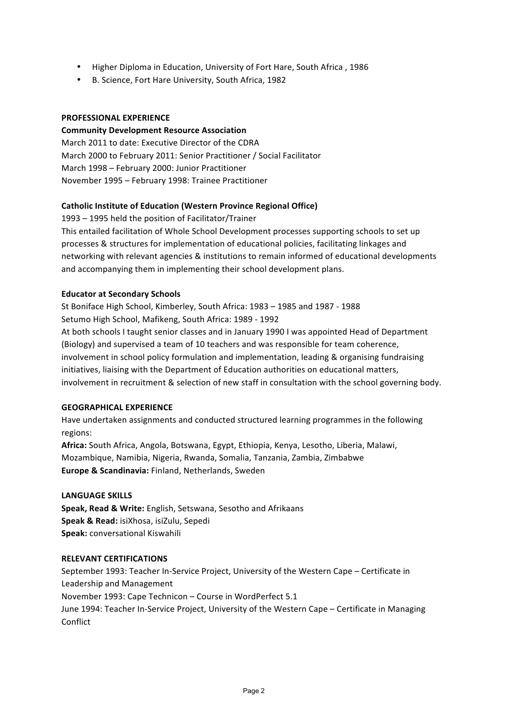- Higher Diploma in Education, University of Fort Hare, South Africa, 1986
- B. Science, Fort Hare University, South Africa, 1982

#### **PROFESSIONAL EXPERIENCE**

**Community Development Resource Association** March 2011 to date: Executive Director of the CDRA March 2000 to February 2011: Senior Practitioner / Social Facilitator March 1998 - February 2000: Junior Practitioner November 1995 - February 1998: Trainee Practitioner

## **Catholic Institute of Education (Western Province Regional Office)**

1993 - 1995 held the position of Facilitator/Trainer This entailed facilitation of Whole School Development processes supporting schools to set up processes & structures for implementation of educational policies, facilitating linkages and networking with relevant agencies & institutions to remain informed of educational developments and accompanying them in implementing their school development plans.

### **Educator at Secondary Schools**

St Boniface High School, Kimberley, South Africa: 1983 - 1985 and 1987 - 1988 Setumo High School, Mafikeng, South Africa: 1989 - 1992

At both schools I taught senior classes and in January 1990 I was appointed Head of Department (Biology) and supervised a team of 10 teachers and was responsible for team coherence, involvement in school policy formulation and implementation, leading & organising fundraising initiatives, liaising with the Department of Education authorities on educational matters, involvement in recruitment & selection of new staff in consultation with the school governing body.

### **GEOGRAPHICAL EXPERIENCE**

Have undertaken assignments and conducted structured learning programmes in the following regions: 

Africa: South Africa, Angola, Botswana, Egypt, Ethiopia, Kenya, Lesotho, Liberia, Malawi, Mozambique, Namibia, Nigeria, Rwanda, Somalia, Tanzania, Zambia, Zimbabwe **Europe & Scandinavia:** Finland, Netherlands, Sweden

### **LANGUAGE SKILLS**

**Speak, Read & Write:** English, Setswana, Sesotho and Afrikaans **Speak & Read:** isiXhosa, isiZulu, Sepedi **Speak:** conversational Kiswahili

#### **RELEVANT CERTIFICATIONS**

September 1993: Teacher In-Service Project, University of the Western Cape - Certificate in Leadership and Management November 1993: Cape Technicon – Course in WordPerfect 5.1 June 1994: Teacher In-Service Project, University of the Western Cape - Certificate in Managing Conflict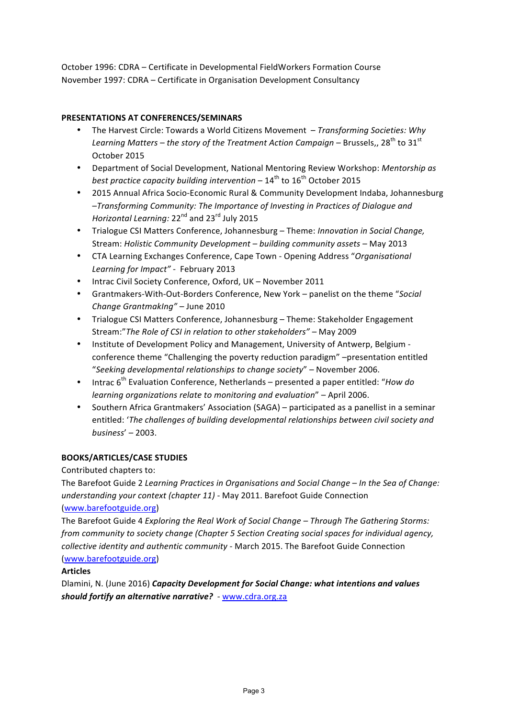October 1996: CDRA - Certificate in Developmental FieldWorkers Formation Course November 1997: CDRA – Certificate in Organisation Development Consultancy

## **PRESENTATIONS AT CONFERENCES/SEMINARS**

- The Harvest Circle: Towards a World Citizens Movement  *Transforming Societies: Why Learning Matters* – the story of the Treatment Action Campaign – Brussels,, 28<sup>th</sup> to 31<sup>st</sup> October 2015
- Department of Social Development, National Mentoring Review Workshop: *Mentorship as best practice capacity building intervention* –  $14^{th}$  to  $16^{th}$  October 2015
- 2015 Annual Africa Socio-Economic Rural & Community Development Indaba, Johannesburg –*Transforming Community: The Importance of Investing in Practices of Dialogue and Horizontal Learning:* 22<sup>nd</sup> and 23<sup>rd</sup> July 2015
- Trialogue CSI Matters Conference, Johannesburg Theme: *Innovation in Social Change*, Stream: *Holistic Community Development* – building community assets – May 2013
- CTA Learning Exchanges Conference, Cape Town Opening Address "Organisational Learning for Impact" - February 2013
- Intrac Civil Society Conference, Oxford, UK November 2011
- Grantmakers-With-Out-Borders Conference, New York panelist on the theme "Social *Change GrantmakIng"* – June 2010
- Trialogue CSI Matters Conference, Johannesburg Theme: Stakeholder Engagement Stream:" The Role of CSI in relation to other stakeholders" – May 2009
- Institute of Development Policy and Management, University of Antwerp, Belgium conference theme "Challenging the poverty reduction paradigm" –presentation entitled "Seeking developmental relationships to change society" – November 2006.
- Intrac 6<sup>th</sup> Evaluation Conference, Netherlands presented a paper entitled: "*How do learning organizations relate to monitoring and evaluation"* – April 2006.
- Southern Africa Grantmakers' Association (SAGA) participated as a panellist in a seminar entitled: 'The challenges of building developmental relationships between civil society and *business*' – 2003.

# **BOOKS/ARTICLES/CASE STUDIES**

Contributed chapters to:

The Barefoot Guide 2 *Learning Practices in Organisations and Social Change – In the Sea of Change: understanding your context (chapter 11)* - May 2011. Barefoot Guide Connection (www.barefootguide.org) 

The Barefoot Guide 4 *Exploring the Real Work of Social Change* – Through The Gathering Storms: *from community to society change (Chapter 5 Section Creating social spaces for individual agency, collective identity and authentic community* - March 2015. The Barefoot Guide Connection (www.barefootguide.org) 

### **Articles**

Dlamini, N. (June 2016) *Capacity Development for Social Change:* what intentions and values should fortify an alternative narrative? - www.cdra.org.za